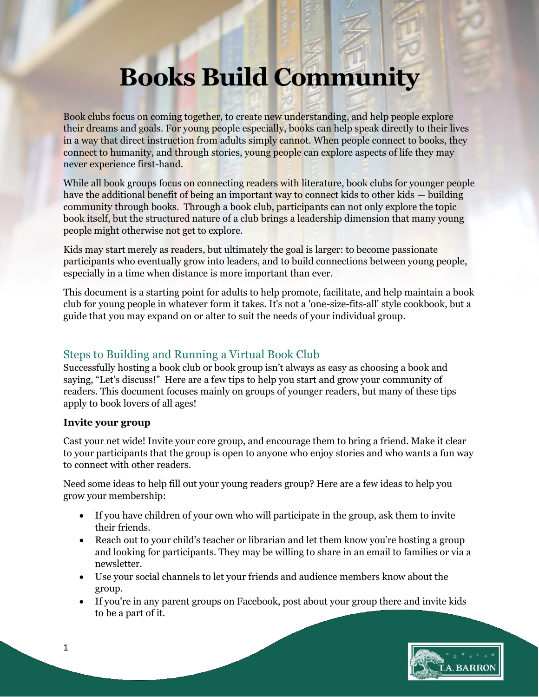# **Books Build Community**

Book clubs focus on coming together, to create new understanding, and help people explore their dreams and goals. For young people especially, books can help speak directly to their lives in a way that direct instruction from adults simply cannot. When people connect to books, they connect to humanity, and through stories, young people can explore aspects of life they may never experience first-hand.

While all book groups focus on connecting readers with literature, book clubs for younger people have the additional benefit of being an important way to connect kids to other kids — building community through books. Through a book club, participants can not only explore the topic book itself, but the structured nature of a club brings a leadership dimension that many young people might otherwise not get to explore.

Kids may start merely as readers, but ultimately the goal is larger: to become passionate participants who eventually grow into leaders, and to build connections between young people, especially in a time when distance is more important than ever.

This document is a starting point for adults to help promote, facilitate, and help maintain a book club for young people in whatever form it takes. It's not a 'one-size-fits-all' style cookbook, but a guide that you may expand on or alter to suit the needs of your individual group.

# Steps to Building and Running a Virtual Book Club

Successfully hosting a book club or book group isn't always as easy as choosing a book and saying, "Let's discuss!" Here are a few tips to help you start and grow your community of readers. This document focuses mainly on groups of younger readers, but many of these tips apply to book lovers of all ages!

# **Invite your group**

Cast your net wide! Invite your core group, and encourage them to bring a friend. Make it clear to your participants that the group is open to anyone who enjoy stories and who wants a fun way to connect with other readers.

Need some ideas to help fill out your young readers group? Here are a few ideas to help you grow your membership:

- If you have children of your own who will participate in the group, ask them to invite their friends.
- Reach out to your child's teacher or librarian and let them know you're hosting a group and looking for participants. They may be willing to share in an email to families or via a newsletter.
- Use your social channels to let your friends and audience members know about the group.
- If you're in any parent groups on Facebook, post about your group there and invite kids to be a part of it.

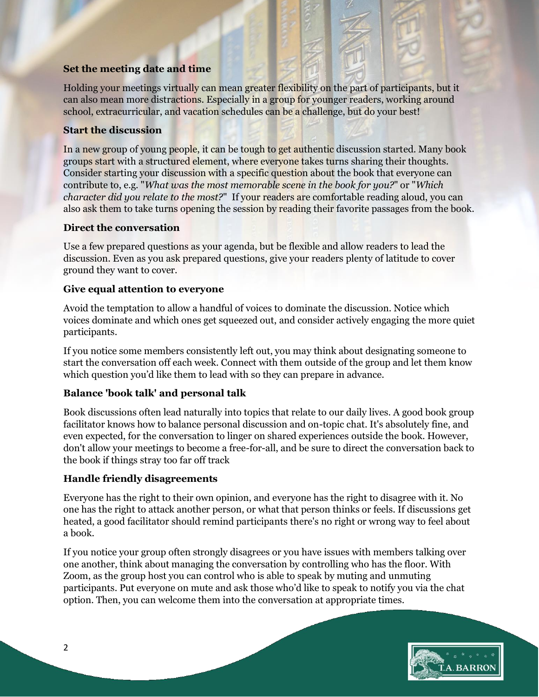#### **Set the meeting date and time**

Holding your meetings virtually can mean greater flexibility on the part of participants, but it can also mean more distractions. Especially in a group for younger readers, working around school, extracurricular, and vacation schedules can be a challenge, but do your best!

### **Start the discussion**

In a new group of young people, it can be tough to get authentic discussion started. Many book groups start with a structured element, where everyone takes turns sharing their thoughts. Consider starting your discussion with a specific question about the book that everyone can contribute to, e.g. "*What was the most memorable scene in the book for you?*" or "*Which character did you relate to the most?*" If your readers are comfortable reading aloud, you can also ask them to take turns opening the session by reading their favorite passages from the book.

### **Direct the conversation**

Use a few prepared questions as your agenda, but be flexible and allow readers to lead the discussion. Even as you ask prepared questions, give your readers plenty of latitude to cover ground they want to cover.

### **Give equal attention to everyone**

Avoid the temptation to allow a handful of voices to dominate the discussion. Notice which voices dominate and which ones get squeezed out, and consider actively engaging the more quiet participants.

If you notice some members consistently left out, you may think about designating someone to start the conversation off each week. Connect with them outside of the group and let them know which question you'd like them to lead with so they can prepare in advance.

# **Balance 'book talk' and personal talk**

Book discussions often lead naturally into topics that relate to our daily lives. A good book group facilitator knows how to balance personal discussion and on-topic chat. It's absolutely fine, and even expected, for the conversation to linger on shared experiences outside the book. However, don't allow your meetings to become a free-for-all, and be sure to direct the conversation back to the book if things stray too far off track

#### **Handle friendly disagreements**

Everyone has the right to their own opinion, and everyone has the right to disagree with it. No one has the right to attack another person, or what that person thinks or feels. If discussions get heated, a good facilitator should remind participants there's no right or wrong way to feel about a book.

If you notice your group often strongly disagrees or you have issues with members talking over one another, think about managing the conversation by controlling who has the floor. With Zoom, as the group host you can control who is able to speak by muting and unmuting participants. Put everyone on mute and ask those who'd like to speak to notify you via the chat option. Then, you can welcome them into the conversation at appropriate times.

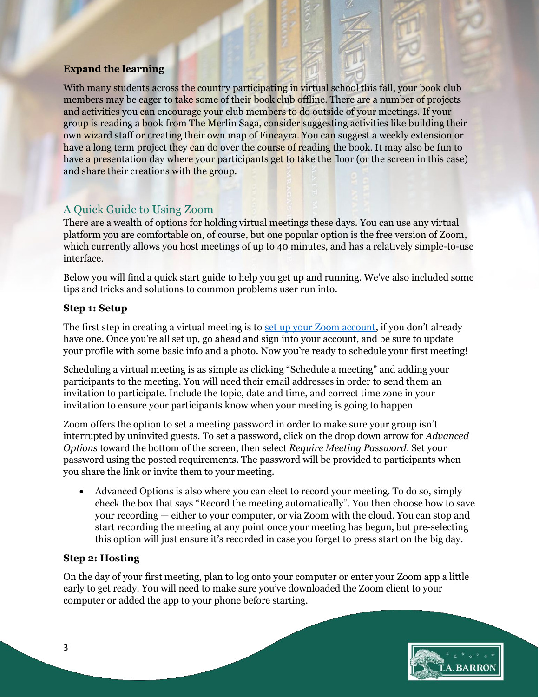## **Expand the learning**

With many students across the country participating in virtual school this fall, your book club members may be eager to take some of their book club offline. There are a number of projects and activities you can encourage your club members to do outside of your meetings. If your group is reading a book from The Merlin Saga, consider suggesting activities like building their own wizard staff or creating their own map of Fincayra. You can suggest a weekly extension or have a long term project they can do over the course of reading the book. It may also be fun to have a presentation day where your participants get to take the floor (or the screen in this case) and share their creations with the group.

# A Quick Guide to Using Zoom

There are a wealth of options for holding virtual meetings these days. You can use any virtual platform you are comfortable on, of course, but one popular option is the free version of Zoom, which currently allows you host meetings of up to 40 minutes, and has a relatively simple-to-use interface.

Below you will find a quick start guide to help you get up and running. We've also included some tips and tricks and solutions to common problems user run into.

### **Step 1: Setup**

The first step in creating a virtual meeting is to <u>set up your Zoom account</u>, if you don't already have one. Once you're all set up, go ahead and sign into your account, and be sure to update your profile with some basic info and a photo. Now you're ready to schedule your first meeting!

Scheduling a virtual meeting is as simple as clicking "Schedule a meeting" and adding your participants to the meeting. You will need their email addresses in order to send them an invitation to participate. Include the topic, date and time, and correct time zone in your invitation to ensure your participants know when your meeting is going to happen

Zoom offers the option to set a meeting password in order to make sure your group isn't interrupted by uninvited guests. To set a password, click on the drop down arrow for *Advanced Options* toward the bottom of the screen, then select *Require Meeting Password*. Set your password using the posted requirements. The password will be provided to participants when you share the link or invite them to your meeting.

 Advanced Options is also where you can elect to record your meeting. To do so, simply check the box that says "Record the meeting automatically". You then choose how to save your recording — either to your computer, or via Zoom with the cloud. You can stop and start recording the meeting at any point once your meeting has begun, but pre-selecting this option will just ensure it's recorded in case you forget to press start on the big day.

# **Step 2: Hosting**

On the day of your first meeting, plan to log onto your computer or enter your Zoom app a little early to get ready. You will need to make sure you've downloaded the Zoom client to your computer or added the app to your phone before starting.